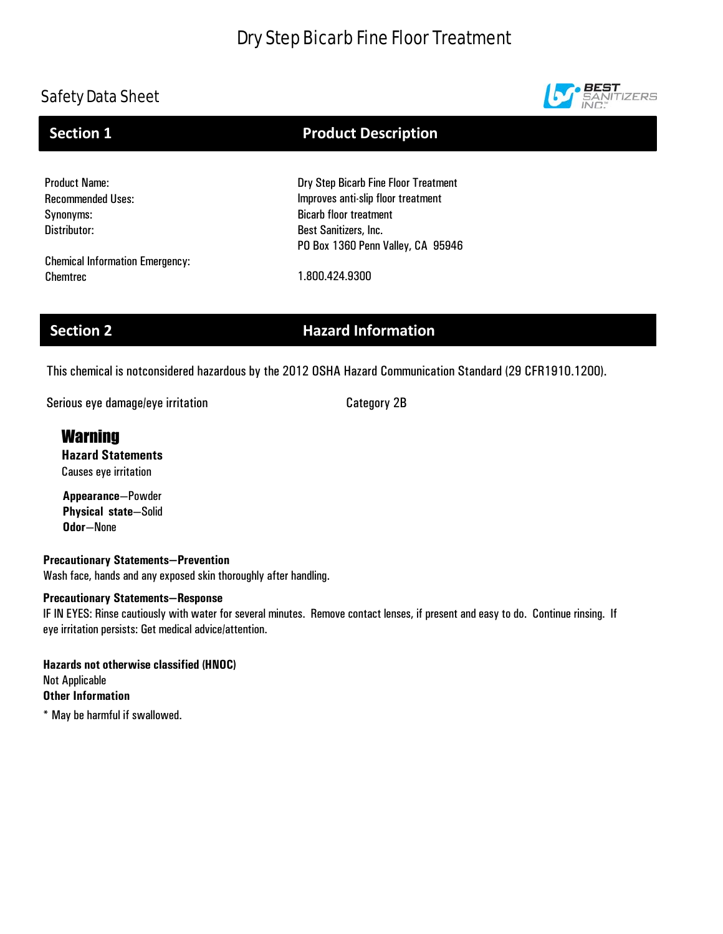# Dry Step Bicarb Fine Floor Treatment

## Safety Data Sheet



## **Section 1** Product Description

| <b>Product Name:</b>                   | Dry Step Bicarb Fine Floor Treatment |
|----------------------------------------|--------------------------------------|
| <b>Recommended Uses:</b>               | Improves anti-slip floor treatment   |
| Synonyms:                              | <b>Bicarb floor treatment</b>        |
| Distributor:                           | Best Sanitizers, Inc.                |
|                                        | PO Box 1360 Penn Valley, CA 95946    |
| <b>Chemical Information Emergency:</b> |                                      |
| Chemtrec                               | 1.800.424.9300                       |

## **Section 2 Hazard Information**

This chemical is notconsidered hazardous by the 2012 OSHA Hazard Communication Standard (29 CFR1910.1200).

Serious eye damage/eye irritation expression of the Category 2B

## **Warning**

**Hazard Statements** Causes eye irritation

**Appearance**—Powder **Physical state**—Solid **Odor**—None

### **Precautionary Statements—Prevention**

Wash face, hands and any exposed skin thoroughly after handling.

### **Precautionary Statements—Response**

IF IN EYES: Rinse cautiously with water for several minutes. Remove contact lenses, if present and easy to do. Continue rinsing. If eye irritation persists: Get medical advice/attention.

**Hazards not otherwise classified (HNOC)** Not Applicable **Other Information** \* May be harmful if swallowed.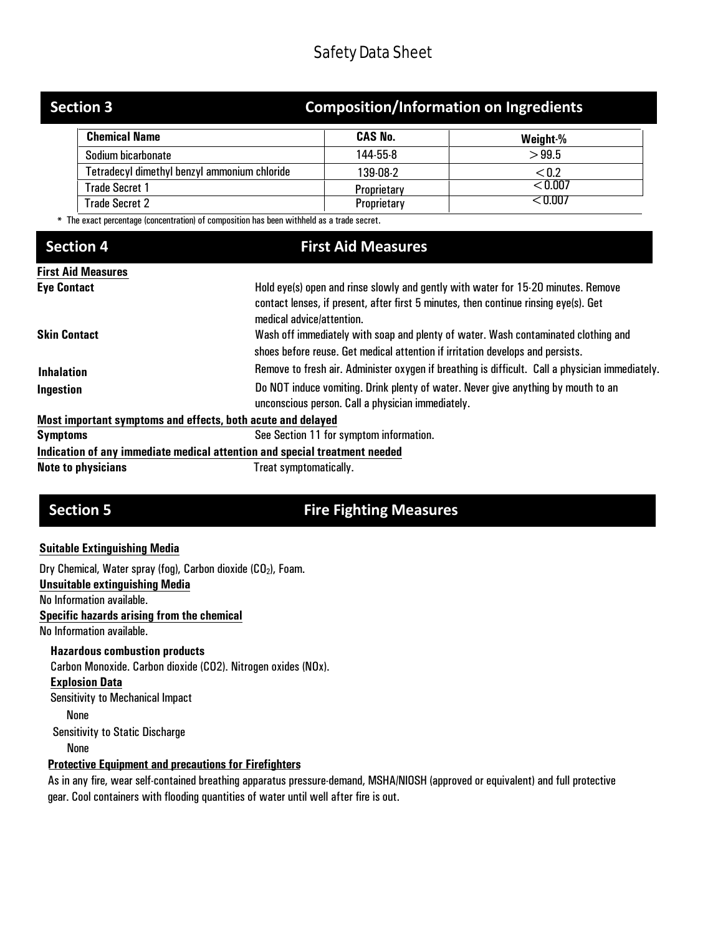| <b>Section 3</b>                             | <b>Composition/Information on Ingredients</b> |                |  |
|----------------------------------------------|-----------------------------------------------|----------------|--|
| <b>Chemical Name</b>                         | CAS No.                                       | Weight-%       |  |
| Sodium bicarbonate                           | 144-55-8                                      | >99.5          |  |
| Tetradecyl dimethyl benzyl ammonium chloride | 139-08-2                                      | < 0.2          |  |
| <b>Trade Secret 1</b>                        | Proprietary                                   | < 0.007        |  |
| <b>Trade Secret 2</b>                        | Proprietary                                   | $<$ 0.007 $\,$ |  |

The exact percentage (concentration) of composition has been withheld as a trade secret.

## **Section 4 First Aid Measures**

| <b>First Aid Measures</b>                                                  |                                                                                                                                                                                                        |
|----------------------------------------------------------------------------|--------------------------------------------------------------------------------------------------------------------------------------------------------------------------------------------------------|
| <b>Eye Contact</b>                                                         | Hold eye(s) open and rinse slowly and gently with water for 15-20 minutes. Remove<br>contact lenses, if present, after first 5 minutes, then continue rinsing eye(s). Get<br>medical advice/attention. |
| <b>Skin Contact</b>                                                        | Wash off immediately with soap and plenty of water. Wash contaminated clothing and<br>shoes before reuse. Get medical attention if irritation develops and persists.                                   |
| <b>Inhalation</b>                                                          | Remove to fresh air. Administer oxygen if breathing is difficult. Call a physician immediately.                                                                                                        |
| Ingestion                                                                  | Do NOT induce vomiting. Drink plenty of water. Never give anything by mouth to an<br>unconscious person. Call a physician immediately.                                                                 |
| Most important symptoms and effects, both acute and delayed                |                                                                                                                                                                                                        |
| <b>Symptoms</b>                                                            | See Section 11 for symptom information.                                                                                                                                                                |
| Indication of any immediate medical attention and special treatment needed |                                                                                                                                                                                                        |
| <b>Note to physicians</b>                                                  | Treat symptomatically.                                                                                                                                                                                 |

# **Section 5 Fire Fighting Measures**

### **Suitable Extinguishing Media**

Dry Chemical, Water spray (fog), Carbon dioxide (CO<sub>2</sub>), Foam. **Unsuitable extinguishing Media** No Information available. **Specific hazards arising from the chemical** No Information available. **Hazardous combustion products**

Carbon Monoxide. Carbon dioxide (CO2). Nitrogen oxides (NOx). **Explosion Data** Sensitivity to Mechanical Impact Sensitivity to Static Discharge None None

## **Protective Equipment and precautions for Firefighters**

As in any fire, wear self-contained breathing apparatus pressure-demand, MSHA/NIOSH (approved or equivalent) and full protective gear. Cool containers with flooding quantities of water until well after fire is out.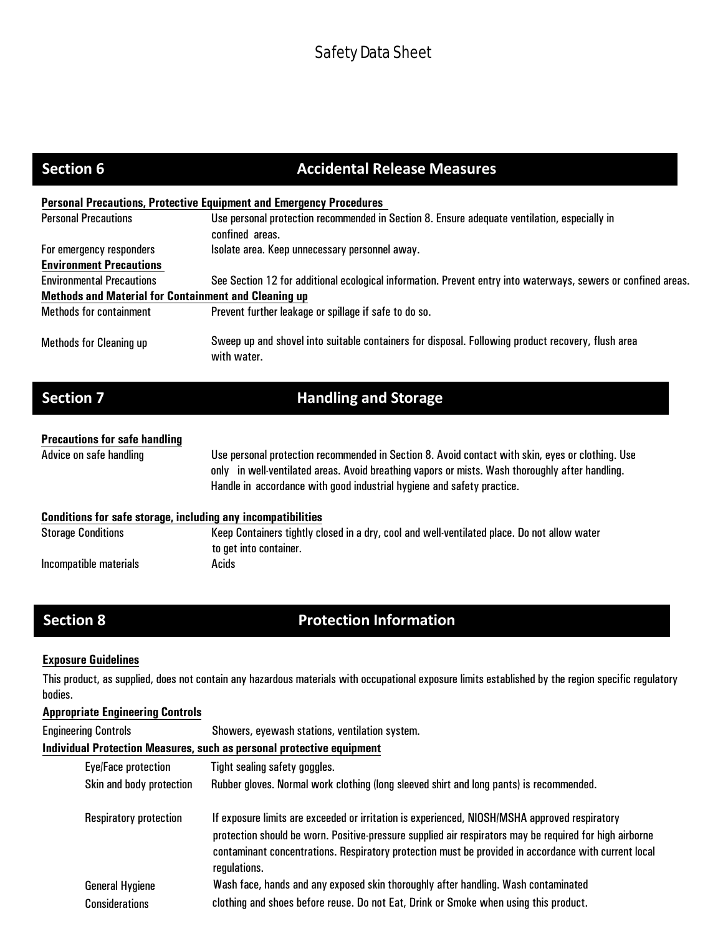| <b>Section 6</b>                                            | <b>Accidental Release Measures</b>                                                                               |
|-------------------------------------------------------------|------------------------------------------------------------------------------------------------------------------|
|                                                             | <b>Personal Precautions, Protective Equipment and Emergency Procedures</b>                                       |
| <b>Personal Precautions</b>                                 | Use personal protection recommended in Section 8. Ensure adequate ventilation, especially in<br>confined areas.  |
| For emergency responders                                    | Isolate area. Keep unnecessary personnel away.                                                                   |
| <b>Environment Precautions</b>                              |                                                                                                                  |
| <b>Environmental Precautions</b>                            | See Section 12 for additional ecological information. Prevent entry into waterways, sewers or confined areas.    |
| <b>Methods and Material for Containment and Cleaning up</b> |                                                                                                                  |
| Methods for containment                                     | Prevent further leakage or spillage if safe to do so.                                                            |
| <b>Methods for Cleaning up</b>                              | Sweep up and shovel into suitable containers for disposal. Following product recovery, flush area<br>with water. |

## **Section 7 Handling and Storage**

### **Precautions for safe handling**

Advice on safe handling Use personal protection recommended in Section 8. Avoid contact with skin, eyes or clothing. Use only in well-ventilated areas. Avoid breathing vapors or mists. Wash thoroughly after handling. Handle in accordance with good industrial hygiene and safety practice.

### **Conditions for safe storage, including any incompatibilities**

| <b>Storage Conditions</b> | Keep Containers tightly closed in a dry, cool and well-ventilated place. Do not allow water |
|---------------------------|---------------------------------------------------------------------------------------------|
|                           | to get into container.                                                                      |
| Incompatible materials    | Acids                                                                                       |

## **Section 8 22 Protection Information**

### **Exposure Guidelines**

This product, as supplied, does not contain any hazardous materials with occupational exposure limits established by the region specific regulatory bodies.

### **Appropriate Engineering Controls**

| <b>Engineering Controls</b>   | Showers, eyewash stations, ventilation system.                                                                                                                                                                                                                                                                                   |
|-------------------------------|----------------------------------------------------------------------------------------------------------------------------------------------------------------------------------------------------------------------------------------------------------------------------------------------------------------------------------|
|                               | Individual Protection Measures, such as personal protective equipment                                                                                                                                                                                                                                                            |
| Eye/Face protection           | Tight sealing safety goggles.                                                                                                                                                                                                                                                                                                    |
| Skin and body protection      | Rubber gloves. Normal work clothing (long sleeved shirt and long pants) is recommended.                                                                                                                                                                                                                                          |
| <b>Respiratory protection</b> | If exposure limits are exceeded or irritation is experienced, NIOSH/MSHA approved respiratory<br>protection should be worn. Positive-pressure supplied air respirators may be required for high airborne<br>contaminant concentrations. Respiratory protection must be provided in accordance with current local<br>regulations. |
| <b>General Hygiene</b>        | Wash face, hands and any exposed skin thoroughly after handling. Wash contaminated                                                                                                                                                                                                                                               |
| <b>Considerations</b>         | clothing and shoes before reuse. Do not Eat, Drink or Smoke when using this product.                                                                                                                                                                                                                                             |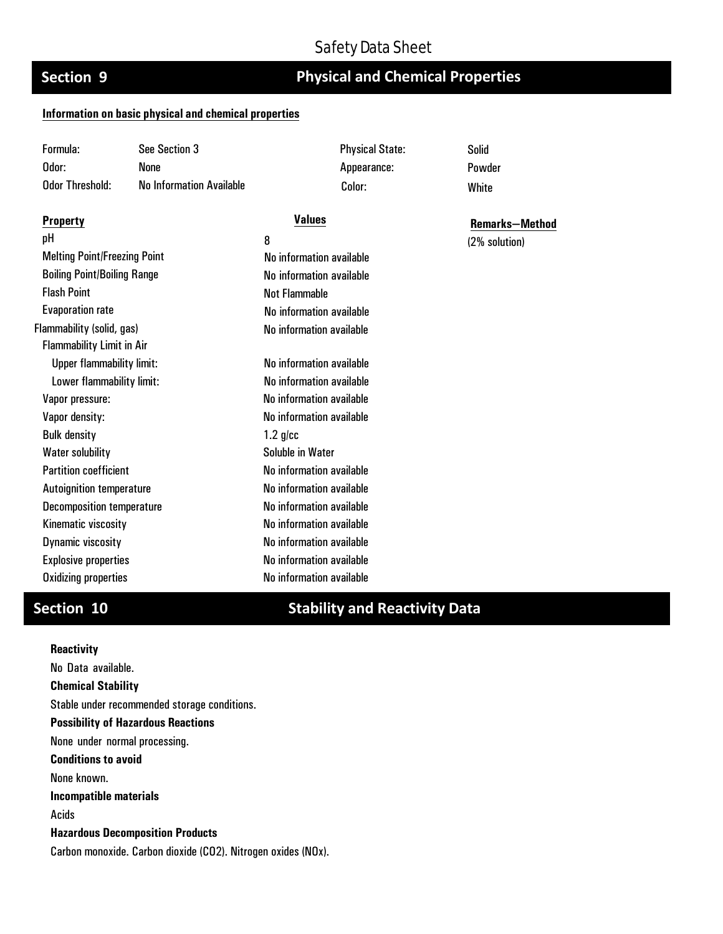## **Section 9**

# **Physical and Chemical Properties**

### **Information on basic physical and chemical properties**

(2% solution)

| <b>Property</b>                     | Values                   |
|-------------------------------------|--------------------------|
| рH                                  | 8                        |
| <b>Melting Point/Freezing Point</b> | No information available |
| <b>Boiling Point/Boiling Range</b>  | No information available |
| <b>Flash Point</b>                  | <b>Not Flammable</b>     |
| <b>Evaporation rate</b>             | No information available |
| Flammability (solid, gas)           | No information available |
| <b>Flammability Limit in Air</b>    |                          |
| <b>Upper flammability limit:</b>    | No information available |
| Lower flammability limit:           | No information available |
| Vapor pressure:                     | No information available |
| Vapor density:                      | No information available |
| <b>Bulk density</b>                 | $1.2$ g/cc               |
| <b>Water solubility</b>             | Soluble in Water         |
| <b>Partition coefficient</b>        | No information available |
| <b>Autoignition temperature</b>     | No information available |
| <b>Decomposition temperature</b>    | No information available |
| Kinematic viscosity                 | No information available |
| Dynamic viscosity                   | No information available |
| <b>Explosive properties</b>         | No information available |
| <b>Oxidizing properties</b>         | No information available |

# **Section 10 Stability and Reactivity Data**

**Reactivity**  No Data available. **Chemical Stability** Stable under recommended storage conditions. **Possibility of Hazardous Reactions**  None under normal processing. **Conditions to avoid** None known. **Incompatible materials** Acids **Hazardous Decomposition Products** Carbon monoxide. Carbon dioxide (CO2). Nitrogen oxides (NOx).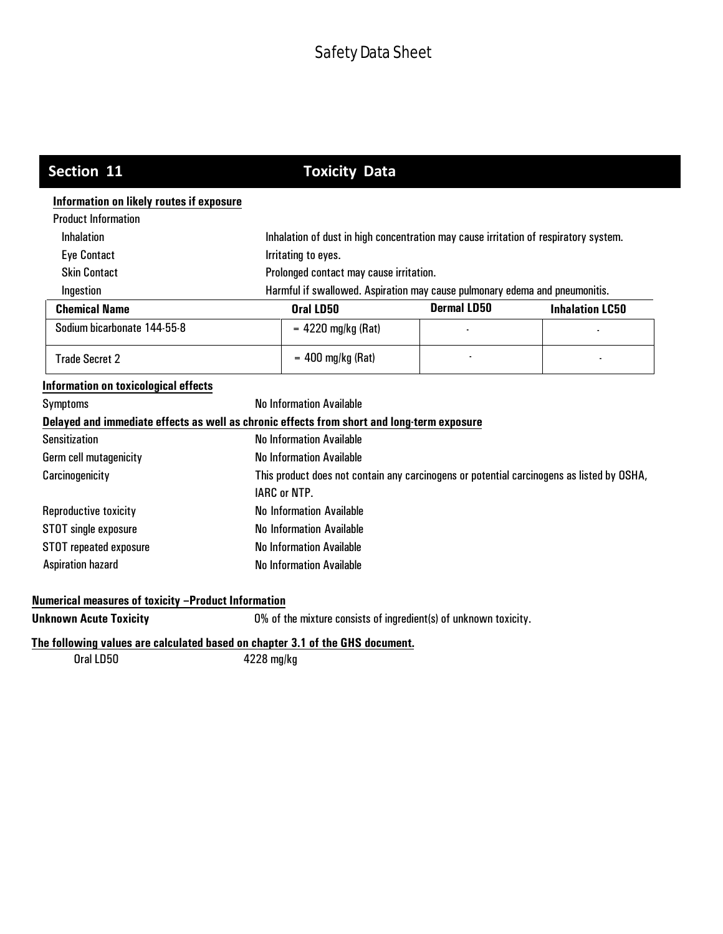# **Section 11 Toxicity Data**

## **Information on likely routes if exposure**

| <b>Product Information</b>           |                                                                                            |                                                                             |  |  |
|--------------------------------------|--------------------------------------------------------------------------------------------|-----------------------------------------------------------------------------|--|--|
| <b>Inhalation</b>                    | Inhalation of dust in high concentration may cause irritation of respiratory system.       |                                                                             |  |  |
| <b>Eye Contact</b>                   | Irritating to eyes.                                                                        |                                                                             |  |  |
| <b>Skin Contact</b>                  | Prolonged contact may cause irritation.                                                    |                                                                             |  |  |
| Ingestion                            |                                                                                            | Harmful if swallowed. Aspiration may cause pulmonary edema and pneumonitis. |  |  |
| <b>Chemical Name</b>                 | Oral LD50                                                                                  | <b>Dermal LD50</b><br><b>Inhalation LC50</b>                                |  |  |
| Sodium bicarbonate 144-55-8          | $= 4220$ mg/kg (Rat)                                                                       |                                                                             |  |  |
| <b>Trade Secret 2</b>                | $= 400$ mg/kg (Rat)                                                                        |                                                                             |  |  |
| Information on toxicological effects |                                                                                            |                                                                             |  |  |
| Symptoms                             | <b>No Information Available</b>                                                            |                                                                             |  |  |
|                                      | Delayed and immediate effects as well as chronic effects from short and long-term exposure |                                                                             |  |  |
| <b>Sensitization</b>                 | <b>No Information Available</b>                                                            |                                                                             |  |  |
| Germ cell mutagenicity               | No Information Available                                                                   |                                                                             |  |  |
| Carcinogenicity                      | This product does not contain any carcinogens or potential carcinogens as listed by OSHA,  |                                                                             |  |  |
|                                      | <b>IARC or NTP.</b>                                                                        |                                                                             |  |  |
| Reproductive toxicity                | No Information Available                                                                   |                                                                             |  |  |
| STOT single exposure                 | No Information Available                                                                   |                                                                             |  |  |
| <b>STOT</b> repeated exposure        | <b>No Information Available</b>                                                            |                                                                             |  |  |
| <b>Aspiration hazard</b>             | <b>No Information Available</b>                                                            |                                                                             |  |  |

## **Numerical measures of toxicity –Product Information**

**Unknown Acute Toxicity** 0% of the mixture consists of ingredient(s) of unknown toxicity.

## **The following values are calculated based on chapter 3.1 of the GHS document.**

Oral LD50 4228 mg/kg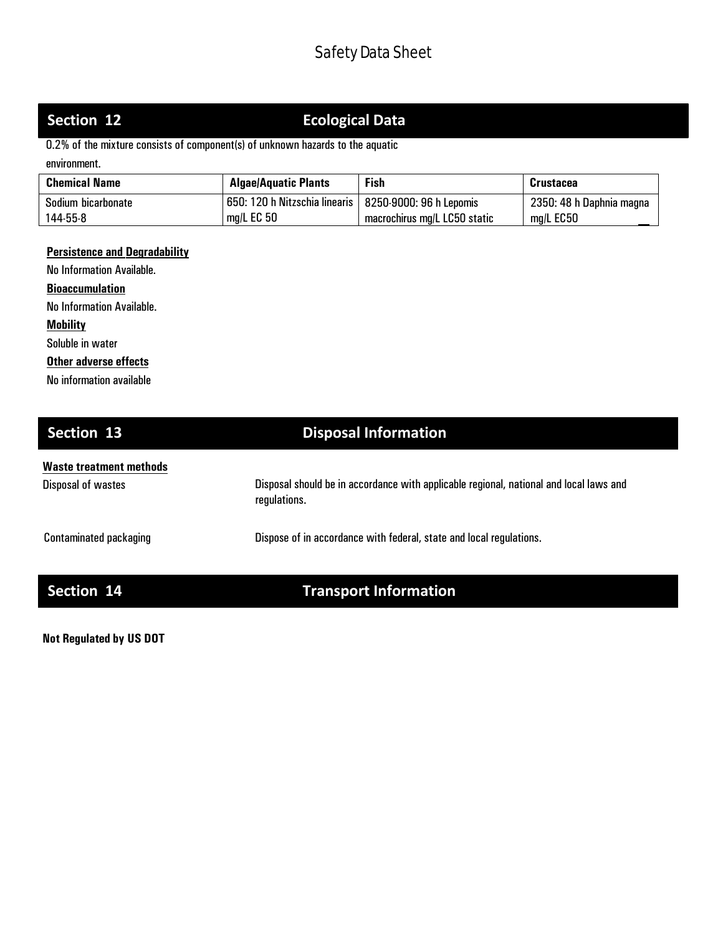## **Section 12**

## **Ecological Data**

0.2% of the mixture consists of component(s) of unknown hazards to the aquatic

environment.

| <b>Chemical Name</b> | <b>Algae/Aquatic Plants</b>   | <b>Fish</b>                  | <b>Crustacea</b>         |
|----------------------|-------------------------------|------------------------------|--------------------------|
| Sodium bicarbonate   | 650: 120 h Nitzschia linearis | 8250-9000: 96 h Lepomis      | 2350: 48 h Daphnia magna |
| 144-55-8             | $mg/L$ EC 50                  | macrochirus mg/L LC50 static | $mg/L$ EC50              |

### **Persistence and Degradability**

No Information Available.

**Bioaccumulation**

No Information Available.

**Mobility**

Soluble in water

### **Other adverse effects**

No information available

# **Waste treatment methods** Disposal of wastes **Section 13 Disposal Information**

Disposal should be in accordance with applicable regional, national and local laws and regulations.

Contaminated packaging Dispose of in accordance with federal, state and local regulations.

## **Section 14 Transport Information**

**Not Regulated by US DOT**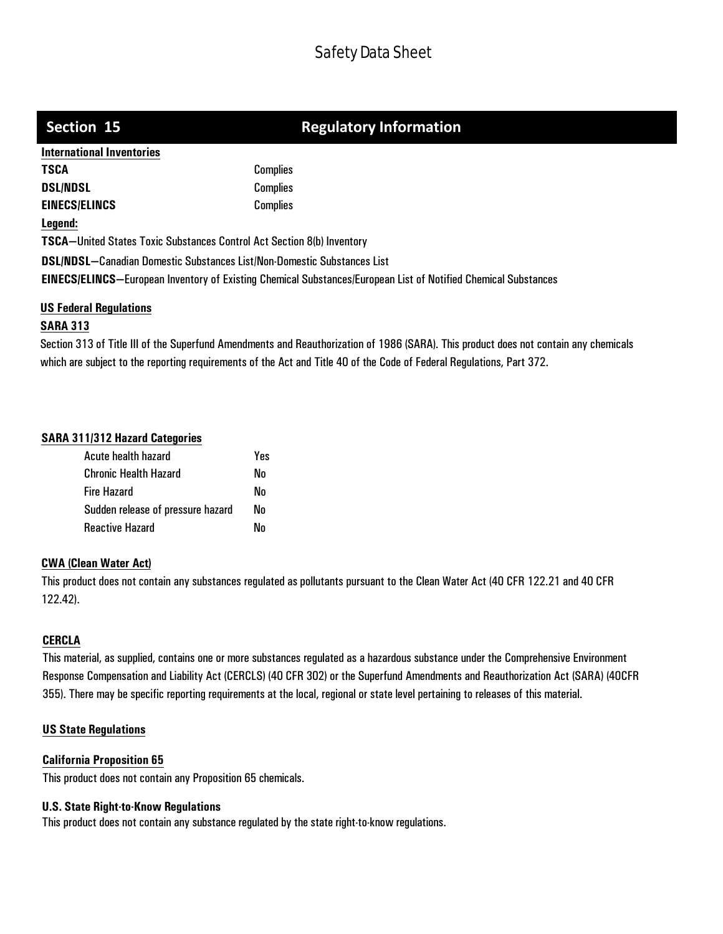## **Section 15 Regulatory Information**

## **International Inventories TSCA** Complies

**DSL/NDSL** Complies **EINECS/ELINCS** Complies

### **Legend:**

**TSCA—**United States Toxic Substances Control Act Section 8(b) Inventory

**DSL/NDSL—**Canadian Domestic Substances List/Non-Domestic Substances List

**EINECS/ELINCS—**European Inventory of Existing Chemical Substances/European List of Notified Chemical Substances

### **US Federal Regulations**

### **SARA 313**

Section 313 of Title III of the Superfund Amendments and Reauthorization of 1986 (SARA). This product does not contain any chemicals which are subject to the reporting requirements of the Act and Title 40 of the Code of Federal Regulations, Part 372.

### **SARA 311/312 Hazard Categories**

| Acute health hazard               | Yes |
|-----------------------------------|-----|
| <b>Chronic Health Hazard</b>      | Nο  |
| Fire Hazard                       | Nο  |
| Sudden release of pressure hazard | N٥  |
| <b>Reactive Hazard</b>            | N٨  |

### **CWA (Clean Water Act)**

This product does not contain any substances regulated as pollutants pursuant to the Clean Water Act (40 CFR 122.21 and 40 CFR 122.42).

### **CERCLA**

This material, as supplied, contains one or more substances regulated as a hazardous substance under the Comprehensive Environment Response Compensation and Liability Act (CERCLS) (40 CFR 302) or the Superfund Amendments and Reauthorization Act (SARA) (40CFR 355). There may be specific reporting requirements at the local, regional or state level pertaining to releases of this material.

## **US State Regulations**

## **California Proposition 65**

This product does not contain any Proposition 65 chemicals.

### **U.S. State Right-to-Know Regulations**

This product does not contain any substance regulated by the state right-to-know regulations.